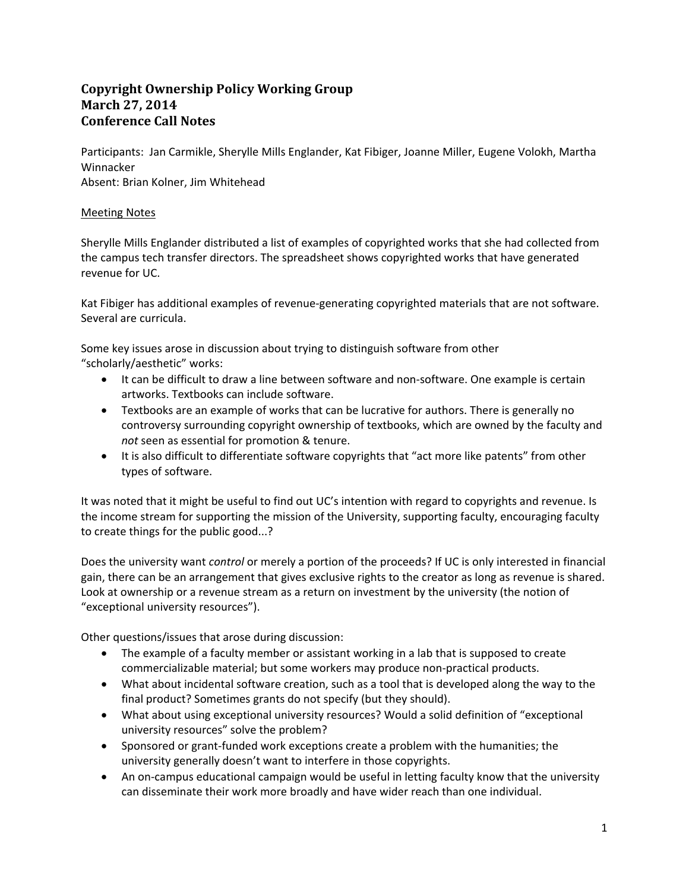## **Copyright Ownership Policy Working Group March 27, 2014 Conference Call Notes**

Participants: Jan Carmikle, Sherylle Mills Englander, Kat Fibiger, Joanne Miller, Eugene Volokh, Martha Winnacker Absent: Brian Kolner, Jim Whitehead

## Meeting Notes

Sherylle Mills Englander distributed a list of examples of copyrighted works that she had collected from the campus tech transfer directors. The spreadsheet shows copyrighted works that have generated revenue for UC.

Kat Fibiger has additional examples of revenue‐generating copyrighted materials that are not software. Several are curricula.

Some key issues arose in discussion about trying to distinguish software from other "scholarly/aesthetic" works:

- It can be difficult to draw a line between software and non-software. One example is certain artworks. Textbooks can include software.
- Textbooks are an example of works that can be lucrative for authors. There is generally no controversy surrounding copyright ownership of textbooks, which are owned by the faculty and *not* seen as essential for promotion & tenure.
- It is also difficult to differentiate software copyrights that "act more like patents" from other types of software.

It was noted that it might be useful to find out UC's intention with regard to copyrights and revenue. Is the income stream for supporting the mission of the University, supporting faculty, encouraging faculty to create things for the public good...?

Does the university want *control* or merely a portion of the proceeds? If UC is only interested in financial gain, there can be an arrangement that gives exclusive rights to the creator as long as revenue is shared. Look at ownership or a revenue stream as a return on investment by the university (the notion of "exceptional university resources").

Other questions/issues that arose during discussion:

- The example of a faculty member or assistant working in a lab that is supposed to create commercializable material; but some workers may produce non‐practical products.
- What about incidental software creation, such as a tool that is developed along the way to the final product? Sometimes grants do not specify (but they should).
- What about using exceptional university resources? Would a solid definition of "exceptional university resources" solve the problem?
- Sponsored or grant-funded work exceptions create a problem with the humanities; the university generally doesn't want to interfere in those copyrights.
- An on-campus educational campaign would be useful in letting faculty know that the university can disseminate their work more broadly and have wider reach than one individual.